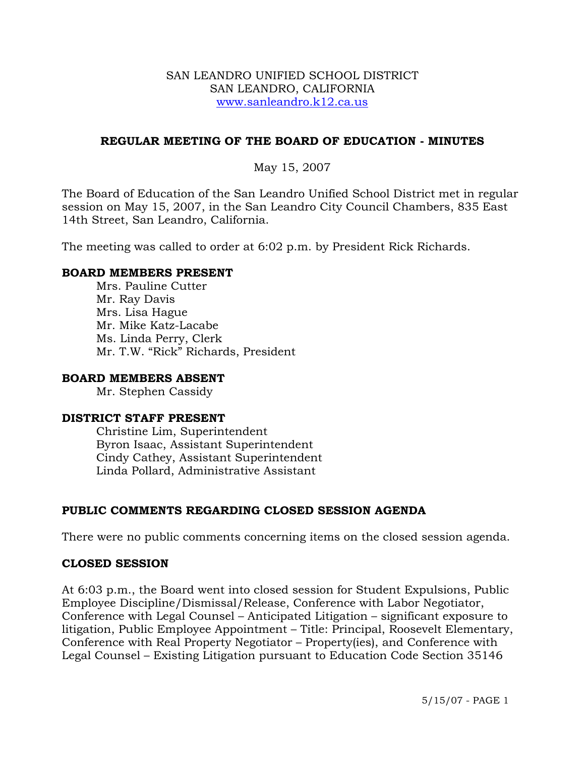#### SAN LEANDRO UNIFIED SCHOOL DISTRICT SAN LEANDRO, CALIFORNIA www.sanleandro.k12.ca.us

### **REGULAR MEETING OF THE BOARD OF EDUCATION - MINUTES**

### May 15, 2007

The Board of Education of the San Leandro Unified School District met in regular session on May 15, 2007, in the San Leandro City Council Chambers, 835 East 14th Street, San Leandro, California.

The meeting was called to order at 6:02 p.m. by President Rick Richards.

#### **BOARD MEMBERS PRESENT**

Mrs. Pauline Cutter Mr. Ray Davis Mrs. Lisa Hague Mr. Mike Katz-Lacabe Ms. Linda Perry, Clerk Mr. T.W. "Rick" Richards, President

#### **BOARD MEMBERS ABSENT**

Mr. Stephen Cassidy

#### **DISTRICT STAFF PRESENT**

Christine Lim, Superintendent Byron Isaac, Assistant Superintendent Cindy Cathey, Assistant Superintendent Linda Pollard, Administrative Assistant

#### **PUBLIC COMMENTS REGARDING CLOSED SESSION AGENDA**

There were no public comments concerning items on the closed session agenda.

#### **CLOSED SESSION**

At 6:03 p.m., the Board went into closed session for Student Expulsions, Public Employee Discipline/Dismissal/Release, Conference with Labor Negotiator, Conference with Legal Counsel – Anticipated Litigation – significant exposure to litigation, Public Employee Appointment – Title: Principal, Roosevelt Elementary, Conference with Real Property Negotiator – Property(ies), and Conference with Legal Counsel – Existing Litigation pursuant to Education Code Section 35146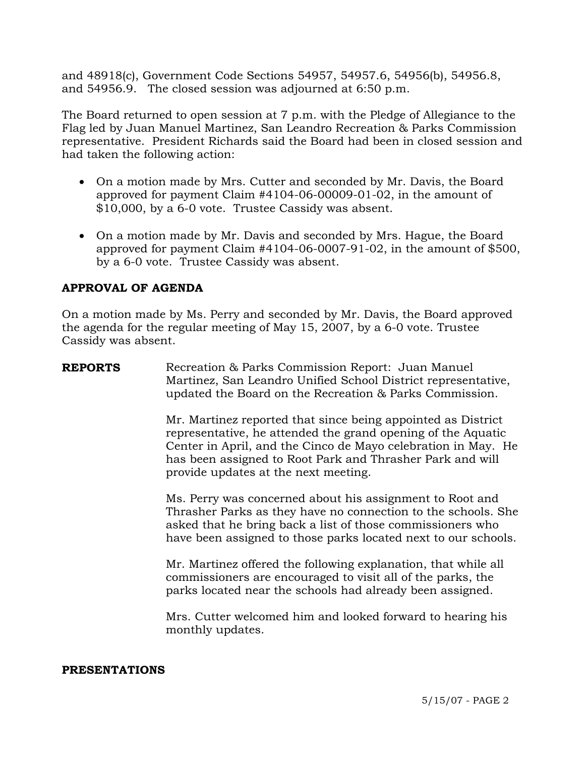and 48918(c), Government Code Sections 54957, 54957.6, 54956(b), 54956.8, and 54956.9. The closed session was adjourned at 6:50 p.m.

The Board returned to open session at 7 p.m. with the Pledge of Allegiance to the Flag led by Juan Manuel Martinez, San Leandro Recreation & Parks Commission representative. President Richards said the Board had been in closed session and had taken the following action:

- On a motion made by Mrs. Cutter and seconded by Mr. Davis, the Board approved for payment Claim #4104-06-00009-01-02, in the amount of \$10,000, by a 6-0 vote. Trustee Cassidy was absent.
- On a motion made by Mr. Davis and seconded by Mrs. Hague, the Board approved for payment Claim #4104-06-0007-91-02, in the amount of \$500, by a 6-0 vote. Trustee Cassidy was absent.

## **APPROVAL OF AGENDA**

On a motion made by Ms. Perry and seconded by Mr. Davis, the Board approved the agenda for the regular meeting of May 15, 2007, by a 6-0 vote. Trustee Cassidy was absent.

**REPORTS** Recreation & Parks Commission Report: Juan Manuel Martinez, San Leandro Unified School District representative, updated the Board on the Recreation & Parks Commission.

> Mr. Martinez reported that since being appointed as District representative, he attended the grand opening of the Aquatic Center in April, and the Cinco de Mayo celebration in May. He has been assigned to Root Park and Thrasher Park and will provide updates at the next meeting.

> Ms. Perry was concerned about his assignment to Root and Thrasher Parks as they have no connection to the schools. She asked that he bring back a list of those commissioners who have been assigned to those parks located next to our schools.

Mr. Martinez offered the following explanation, that while all commissioners are encouraged to visit all of the parks, the parks located near the schools had already been assigned.

Mrs. Cutter welcomed him and looked forward to hearing his monthly updates.

#### **PRESENTATIONS**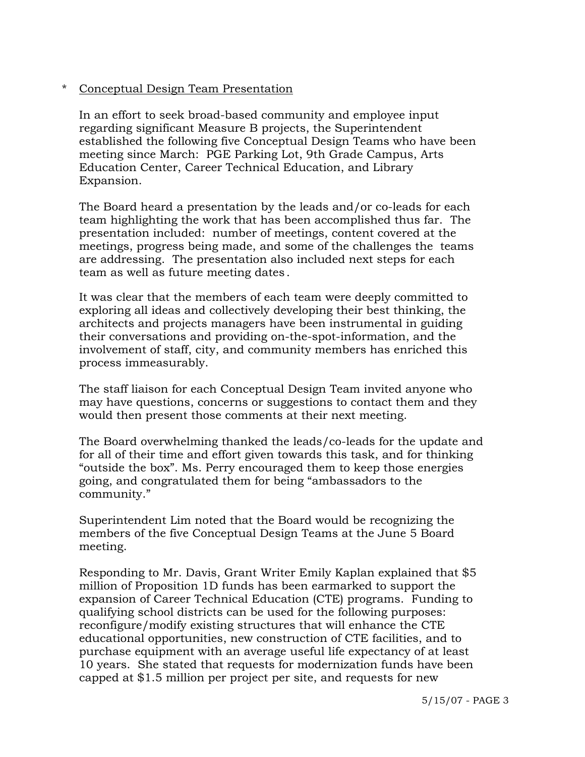### \* Conceptual Design Team Presentation

 In an effort to seek broad-based community and employee input regarding significant Measure B projects, the Superintendent established the following five Conceptual Design Teams who have been meeting since March: PGE Parking Lot, 9th Grade Campus, Arts Education Center, Career Technical Education, and Library Expansion.

 The Board heard a presentation by the leads and/or co-leads for each team highlighting the work that has been accomplished thus far. The presentation included: number of meetings, content covered at the meetings, progress being made, and some of the challenges the teams are addressing. The presentation also included next steps for each team as well as future meeting dates.

 It was clear that the members of each team were deeply committed to exploring all ideas and collectively developing their best thinking, the architects and projects managers have been instrumental in guiding their conversations and providing on-the-spot-information, and the involvement of staff, city, and community members has enriched this process immeasurably.

 The staff liaison for each Conceptual Design Team invited anyone who may have questions, concerns or suggestions to contact them and they would then present those comments at their next meeting.

 The Board overwhelming thanked the leads/co-leads for the update and for all of their time and effort given towards this task, and for thinking "outside the box". Ms. Perry encouraged them to keep those energies going, and congratulated them for being "ambassadors to the community."

 Superintendent Lim noted that the Board would be recognizing the members of the five Conceptual Design Teams at the June 5 Board meeting.

 Responding to Mr. Davis, Grant Writer Emily Kaplan explained that \$5 million of Proposition 1D funds has been earmarked to support the expansion of Career Technical Education (CTE) programs. Funding to qualifying school districts can be used for the following purposes: reconfigure/modify existing structures that will enhance the CTE educational opportunities, new construction of CTE facilities, and to purchase equipment with an average useful life expectancy of at least 10 years. She stated that requests for modernization funds have been capped at \$1.5 million per project per site, and requests for new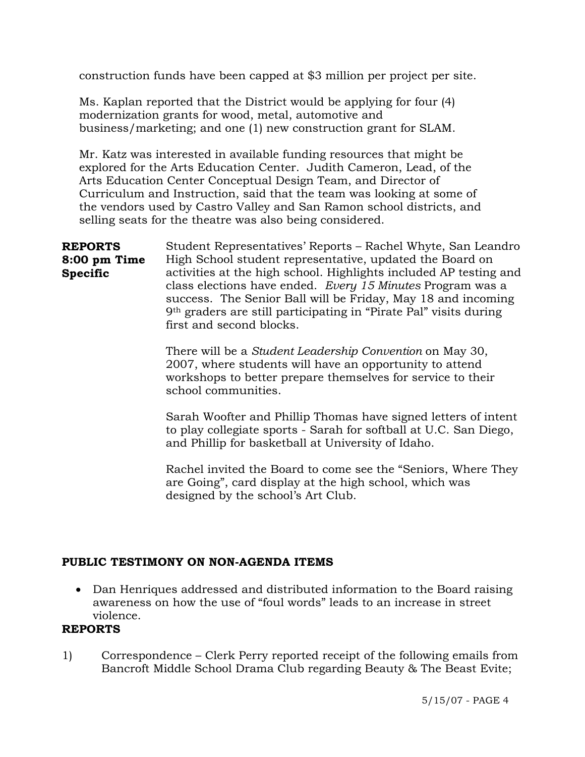construction funds have been capped at \$3 million per project per site.

 Ms. Kaplan reported that the District would be applying for four (4) modernization grants for wood, metal, automotive and business/marketing; and one (1) new construction grant for SLAM.

 Mr. Katz was interested in available funding resources that might be explored for the Arts Education Center. Judith Cameron, Lead, of the Arts Education Center Conceptual Design Team, and Director of Curriculum and Instruction, said that the team was looking at some of the vendors used by Castro Valley and San Ramon school districts, and selling seats for the theatre was also being considered.

**REPORTS 8:00 pm Time Specific**  Student Representatives' Reports – Rachel Whyte, San Leandro High School student representative, updated the Board on activities at the high school. Highlights included AP testing and class elections have ended. *Every 15 Minutes* Program was a success. The Senior Ball will be Friday, May 18 and incoming 9th graders are still participating in "Pirate Pal" visits during first and second blocks.

> There will be a *Student Leadership Convention* on May 30, 2007, where students will have an opportunity to attend workshops to better prepare themselves for service to their school communities.

Sarah Woofter and Phillip Thomas have signed letters of intent to play collegiate sports - Sarah for softball at U.C. San Diego, and Phillip for basketball at University of Idaho.

Rachel invited the Board to come see the "Seniors, Where They are Going", card display at the high school, which was designed by the school's Art Club.

# **PUBLIC TESTIMONY ON NON-AGENDA ITEMS**

• Dan Henriques addressed and distributed information to the Board raising awareness on how the use of "foul words" leads to an increase in street violence.

## **REPORTS**

1) Correspondence – Clerk Perry reported receipt of the following emails from Bancroft Middle School Drama Club regarding Beauty & The Beast Evite;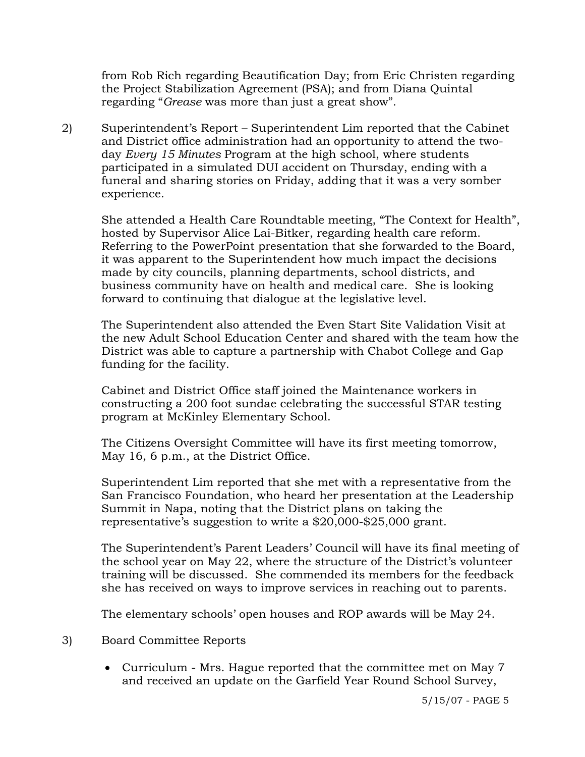from Rob Rich regarding Beautification Day; from Eric Christen regarding the Project Stabilization Agreement (PSA); and from Diana Quintal regarding "*Grease* was more than just a great show".

2) Superintendent's Report – Superintendent Lim reported that the Cabinet and District office administration had an opportunity to attend the twoday *Every 15 Minutes* Program at the high school, where students participated in a simulated DUI accident on Thursday, ending with a funeral and sharing stories on Friday, adding that it was a very somber experience.

She attended a Health Care Roundtable meeting, "The Context for Health", hosted by Supervisor Alice Lai-Bitker, regarding health care reform. Referring to the PowerPoint presentation that she forwarded to the Board, it was apparent to the Superintendent how much impact the decisions made by city councils, planning departments, school districts, and business community have on health and medical care. She is looking forward to continuing that dialogue at the legislative level.

The Superintendent also attended the Even Start Site Validation Visit at the new Adult School Education Center and shared with the team how the District was able to capture a partnership with Chabot College and Gap funding for the facility.

Cabinet and District Office staff joined the Maintenance workers in constructing a 200 foot sundae celebrating the successful STAR testing program at McKinley Elementary School.

The Citizens Oversight Committee will have its first meeting tomorrow, May 16, 6 p.m., at the District Office.

Superintendent Lim reported that she met with a representative from the San Francisco Foundation, who heard her presentation at the Leadership Summit in Napa, noting that the District plans on taking the representative's suggestion to write a \$20,000-\$25,000 grant.

The Superintendent's Parent Leaders' Council will have its final meeting of the school year on May 22, where the structure of the District's volunteer training will be discussed. She commended its members for the feedback she has received on ways to improve services in reaching out to parents.

The elementary schools' open houses and ROP awards will be May 24.

- 3) Board Committee Reports
	- Curriculum Mrs. Hague reported that the committee met on May 7 and received an update on the Garfield Year Round School Survey,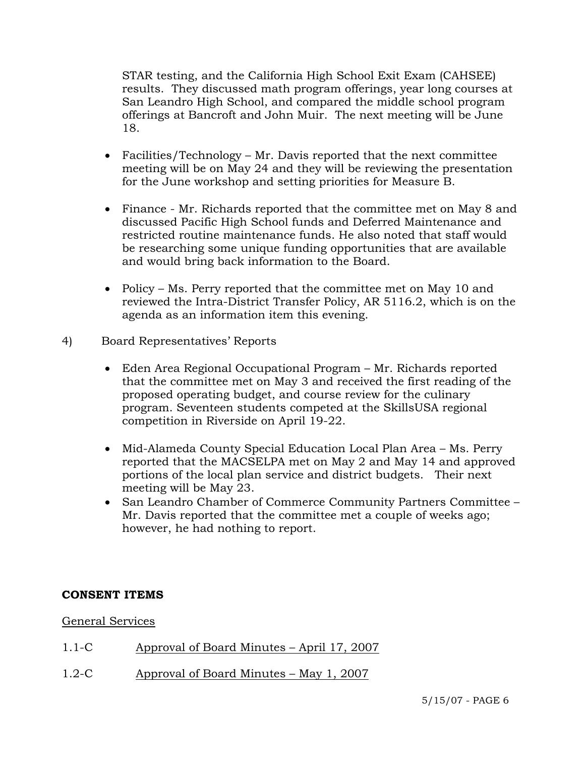STAR testing, and the California High School Exit Exam (CAHSEE) results. They discussed math program offerings, year long courses at San Leandro High School, and compared the middle school program offerings at Bancroft and John Muir. The next meeting will be June 18.

- Facilities/Technology Mr. Davis reported that the next committee meeting will be on May 24 and they will be reviewing the presentation for the June workshop and setting priorities for Measure B.
- Finance Mr. Richards reported that the committee met on May 8 and discussed Pacific High School funds and Deferred Maintenance and restricted routine maintenance funds. He also noted that staff would be researching some unique funding opportunities that are available and would bring back information to the Board.
- Policy Ms. Perry reported that the committee met on May 10 and reviewed the Intra-District Transfer Policy, AR 5116.2, which is on the agenda as an information item this evening.
- 4) Board Representatives' Reports
	- Eden Area Regional Occupational Program Mr. Richards reported that the committee met on May 3 and received the first reading of the proposed operating budget, and course review for the culinary program. Seventeen students competed at the SkillsUSA regional competition in Riverside on April 19-22.
	- Mid-Alameda County Special Education Local Plan Area Ms. Perry reported that the MACSELPA met on May 2 and May 14 and approved portions of the local plan service and district budgets. Their next meeting will be May 23.
	- San Leandro Chamber of Commerce Community Partners Committee Mr. Davis reported that the committee met a couple of weeks ago; however, he had nothing to report.

## **CONSENT ITEMS**

#### General Services

- 1.1-C Approval of Board Minutes April 17, 2007
- 1.2-C Approval of Board Minutes May 1, 2007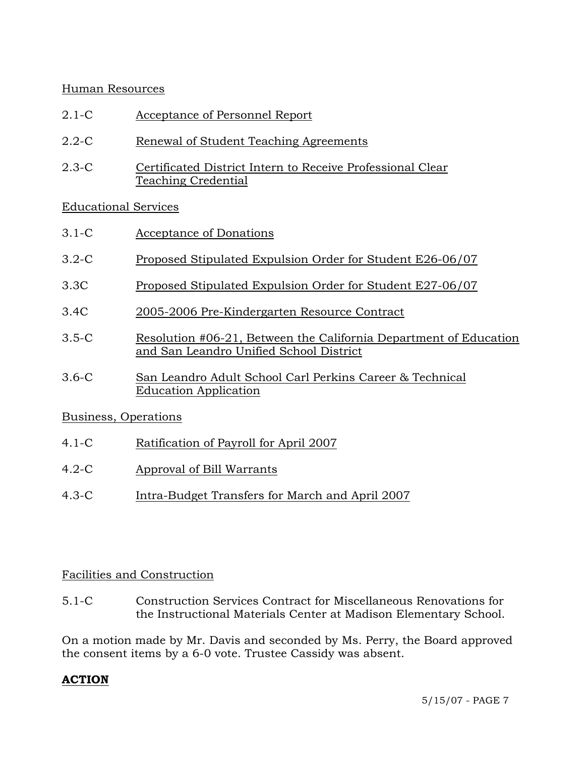## Human Resources

- 2.1-C Acceptance of Personnel Report
- 2.2-C Renewal of Student Teaching Agreements
- 2.3-C Certificated District Intern to Receive Professional Clear Teaching Credential

# Educational Services

- 3.1-C Acceptance of Donations
- 3.2-C Proposed Stipulated Expulsion Order for Student E26-06/07
- 3.3C Proposed Stipulated Expulsion Order for Student E27-06/07
- 3.4C 2005-2006 Pre-Kindergarten Resource Contract
- 3.5-C Resolution #06-21, Between the California Department of Education and San Leandro Unified School District
- 3.6-C San Leandro Adult School Carl Perkins Career & Technical Education Application

## Business, Operations

- 4.1-C Ratification of Payroll for April 2007
- 4.2-C Approval of Bill Warrants
- 4.3-C Intra-Budget Transfers for March and April 2007

# Facilities and Construction

5.1-C Construction Services Contract for Miscellaneous Renovations for the Instructional Materials Center at Madison Elementary School.

On a motion made by Mr. Davis and seconded by Ms. Perry, the Board approved the consent items by a 6-0 vote. Trustee Cassidy was absent.

## **ACTION**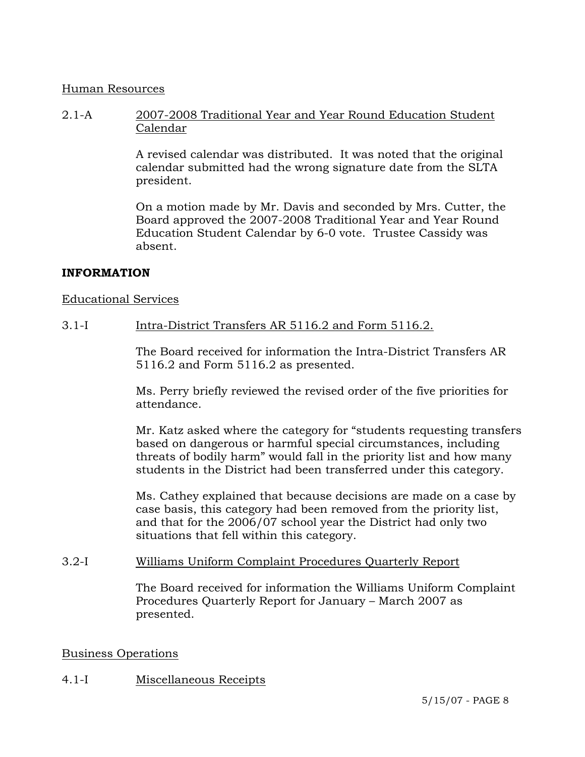#### Human Resources

2.1-A 2007-2008 Traditional Year and Year Round Education Student Calendar

> A revised calendar was distributed. It was noted that the original calendar submitted had the wrong signature date from the SLTA president.

> On a motion made by Mr. Davis and seconded by Mrs. Cutter, the Board approved the 2007-2008 Traditional Year and Year Round Education Student Calendar by 6-0 vote. Trustee Cassidy was absent.

## **INFORMATION**

### Educational Services

### 3.1-I Intra-District Transfers AR 5116.2 and Form 5116.2.

The Board received for information the Intra-District Transfers AR 5116.2 and Form 5116.2 as presented.

Ms. Perry briefly reviewed the revised order of the five priorities for attendance.

Mr. Katz asked where the category for "students requesting transfers based on dangerous or harmful special circumstances, including threats of bodily harm" would fall in the priority list and how many students in the District had been transferred under this category.

Ms. Cathey explained that because decisions are made on a case by case basis, this category had been removed from the priority list, and that for the 2006/07 school year the District had only two situations that fell within this category.

#### 3.2-I Williams Uniform Complaint Procedures Quarterly Report

The Board received for information the Williams Uniform Complaint Procedures Quarterly Report for January – March 2007 as presented.

#### Business Operations

## 4.1-I Miscellaneous Receipts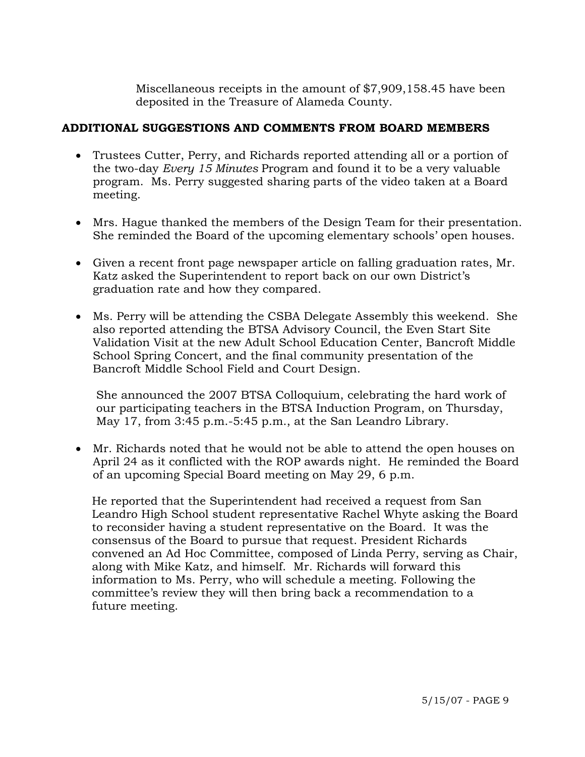Miscellaneous receipts in the amount of \$7,909,158.45 have been deposited in the Treasure of Alameda County.

## **ADDITIONAL SUGGESTIONS AND COMMENTS FROM BOARD MEMBERS**

- Trustees Cutter, Perry, and Richards reported attending all or a portion of the two-day *Every 15 Minutes* Program and found it to be a very valuable program. Ms. Perry suggested sharing parts of the video taken at a Board meeting.
- Mrs. Hague thanked the members of the Design Team for their presentation. She reminded the Board of the upcoming elementary schools' open houses.
- Given a recent front page newspaper article on falling graduation rates, Mr. Katz asked the Superintendent to report back on our own District's graduation rate and how they compared.
- Ms. Perry will be attending the CSBA Delegate Assembly this weekend. She also reported attending the BTSA Advisory Council, the Even Start Site Validation Visit at the new Adult School Education Center, Bancroft Middle School Spring Concert, and the final community presentation of the Bancroft Middle School Field and Court Design.

 She announced the 2007 BTSA Colloquium, celebrating the hard work of our participating teachers in the BTSA Induction Program, on Thursday, May 17, from 3:45 p.m.-5:45 p.m., at the San Leandro Library.

• Mr. Richards noted that he would not be able to attend the open houses on April 24 as it conflicted with the ROP awards night. He reminded the Board of an upcoming Special Board meeting on May 29, 6 p.m.

 He reported that the Superintendent had received a request from San Leandro High School student representative Rachel Whyte asking the Board to reconsider having a student representative on the Board. It was the consensus of the Board to pursue that request. President Richards convened an Ad Hoc Committee, composed of Linda Perry, serving as Chair, along with Mike Katz, and himself. Mr. Richards will forward this information to Ms. Perry, who will schedule a meeting. Following the committee's review they will then bring back a recommendation to a future meeting.